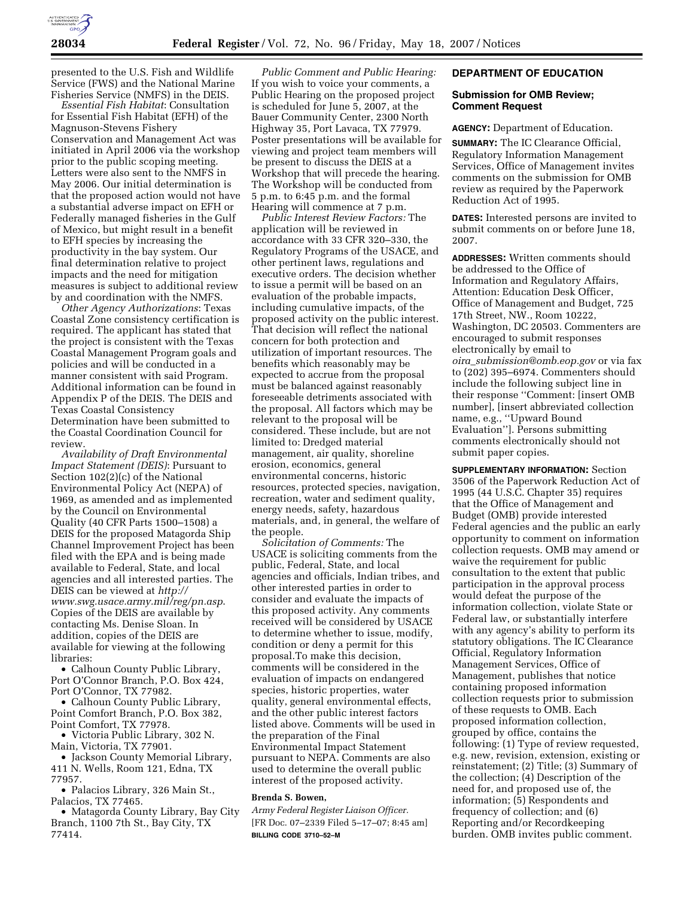

presented to the U.S. Fish and Wildlife Service (FWS) and the National Marine Fisheries Service (NMFS) in the DEIS.

*Essential Fish Habitat*: Consultation for Essential Fish Habitat (EFH) of the Magnuson-Stevens Fishery Conservation and Management Act was initiated in April 2006 via the workshop prior to the public scoping meeting. Letters were also sent to the NMFS in May 2006. Our initial determination is that the proposed action would not have a substantial adverse impact on EFH or Federally managed fisheries in the Gulf of Mexico, but might result in a benefit to EFH species by increasing the productivity in the bay system. Our final determination relative to project impacts and the need for mitigation measures is subject to additional review by and coordination with the NMFS.

*Other Agency Authorizations*: Texas Coastal Zone consistency certification is required. The applicant has stated that the project is consistent with the Texas Coastal Management Program goals and policies and will be conducted in a manner consistent with said Program. Additional information can be found in Appendix P of the DEIS. The DEIS and Texas Coastal Consistency Determination have been submitted to the Coastal Coordination Council for review.

*Availability of Draft Environmental Impact Statement (DEIS)*: Pursuant to Section 102(2)(c) of the National Environmental Policy Act (NEPA) of 1969, as amended and as implemented by the Council on Environmental Quality (40 CFR Parts 1500–1508) a DEIS for the proposed Matagorda Ship Channel Improvement Project has been filed with the EPA and is being made available to Federal, State, and local agencies and all interested parties. The DEIS can be viewed at *http:// www.swg.usace.army.mil/reg/pn.asp*. Copies of the DEIS are available by contacting Ms. Denise Sloan. In addition, copies of the DEIS are available for viewing at the following libraries:

• Calhoun County Public Library, Port O'Connor Branch, P.O. Box 424, Port O'Connor, TX 77982.

• Calhoun County Public Library, Point Comfort Branch, P.O. Box 382, Point Comfort, TX 77978.

• Victoria Public Library, 302 N. Main, Victoria, TX 77901.

• Jackson County Memorial Library, 411 N. Wells, Room 121, Edna, TX 77957.

• Palacios Library, 326 Main St., Palacios, TX 77465.

• Matagorda County Library, Bay City Branch, 1100 7th St., Bay City, TX 77414.

*Public Comment and Public Hearing:*  If you wish to voice your comments, a Public Hearing on the proposed project is scheduled for June 5, 2007, at the Bauer Community Center, 2300 North Highway 35, Port Lavaca, TX 77979. Poster presentations will be available for viewing and project team members will be present to discuss the DEIS at a Workshop that will precede the hearing. The Workshop will be conducted from 5 p.m. to 6:45 p.m. and the formal Hearing will commence at 7 p.m.

*Public Interest Review Factors:* The application will be reviewed in accordance with 33 CFR 320–330, the Regulatory Programs of the USACE, and other pertinent laws, regulations and executive orders. The decision whether to issue a permit will be based on an evaluation of the probable impacts, including cumulative impacts, of the proposed activity on the public interest. That decision will reflect the national concern for both protection and utilization of important resources. The benefits which reasonably may be expected to accrue from the proposal must be balanced against reasonably foreseeable detriments associated with the proposal. All factors which may be relevant to the proposal will be considered. These include, but are not limited to: Dredged material management, air quality, shoreline erosion, economics, general environmental concerns, historic resources, protected species, navigation, recreation, water and sediment quality, energy needs, safety, hazardous materials, and, in general, the welfare of the people.

*Solicitation of Comments:* The USACE is soliciting comments from the public, Federal, State, and local agencies and officials, Indian tribes, and other interested parties in order to consider and evaluate the impacts of this proposed activity. Any comments received will be considered by USACE to determine whether to issue, modify, condition or deny a permit for this proposal.To make this decision, comments will be considered in the evaluation of impacts on endangered species, historic properties, water quality, general environmental effects, and the other public interest factors listed above. Comments will be used in the preparation of the Final Environmental Impact Statement pursuant to NEPA. Comments are also used to determine the overall public interest of the proposed activity.

#### **Brenda S. Bowen,**

*Army Federal Register Liaison Officer.*  [FR Doc. 07–2339 Filed 5–17–07; 8:45 am] **BILLING CODE 3710–52–M** 

## **DEPARTMENT OF EDUCATION**

#### **Submission for OMB Review; Comment Request**

**AGENCY:** Department of Education.

**SUMMARY:** The IC Clearance Official, Regulatory Information Management Services, Office of Management invites comments on the submission for OMB review as required by the Paperwork Reduction Act of 1995.

**DATES:** Interested persons are invited to submit comments on or before June 18, 2007.

**ADDRESSES:** Written comments should be addressed to the Office of Information and Regulatory Affairs, Attention: Education Desk Officer, Office of Management and Budget, 725 17th Street, NW., Room 10222, Washington, DC 20503. Commenters are encouraged to submit responses electronically by email to *oira*\_*submission@omb.eop.gov* or via fax to (202) 395–6974. Commenters should include the following subject line in their response ''Comment: [insert OMB number], [insert abbreviated collection name, e.g., ''Upward Bound Evaluation'']. Persons submitting comments electronically should not submit paper copies.

**SUPPLEMENTARY INFORMATION:** Section 3506 of the Paperwork Reduction Act of 1995 (44 U.S.C. Chapter 35) requires that the Office of Management and Budget (OMB) provide interested Federal agencies and the public an early opportunity to comment on information collection requests. OMB may amend or waive the requirement for public consultation to the extent that public participation in the approval process would defeat the purpose of the information collection, violate State or Federal law, or substantially interfere with any agency's ability to perform its statutory obligations. The IC Clearance Official, Regulatory Information Management Services, Office of Management, publishes that notice containing proposed information collection requests prior to submission of these requests to OMB. Each proposed information collection, grouped by office, contains the following: (1) Type of review requested, e.g. new, revision, extension, existing or reinstatement; (2) Title; (3) Summary of the collection; (4) Description of the need for, and proposed use of, the information; (5) Respondents and frequency of collection; and (6) Reporting and/or Recordkeeping burden. OMB invites public comment.